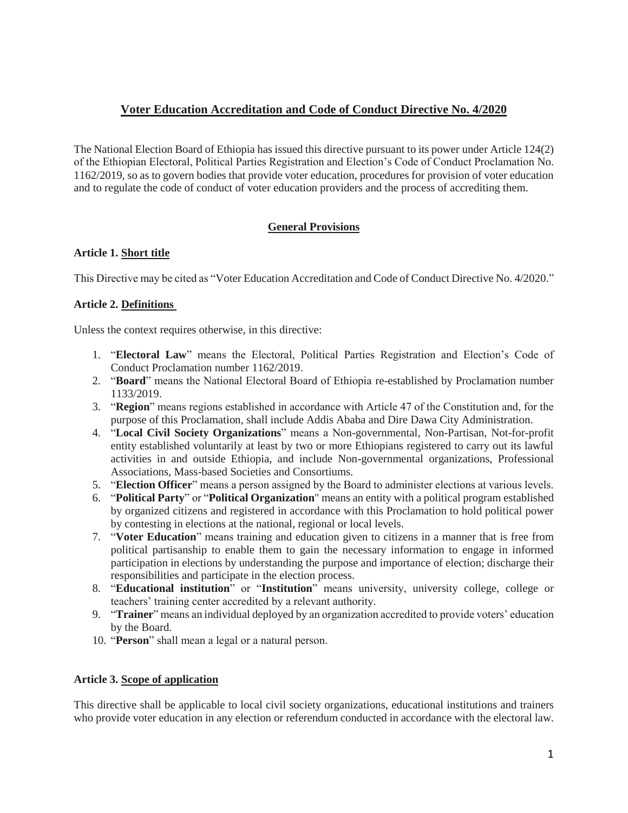# **Voter Education Accreditation and Code of Conduct Directive No. 4/2020**

The National Election Board of Ethiopia has issued this directive pursuant to its power under Article 124(2) of the Ethiopian Electoral, Political Parties Registration and Election's Code of Conduct Proclamation No. 1162/2019, so as to govern bodies that provide voter education, procedures for provision of voter education and to regulate the code of conduct of voter education providers and the process of accrediting them.

## **General Provisions**

## **Article 1. Short title**

This Directive may be cited as "Voter Education Accreditation and Code of Conduct Directive No. 4/2020."

## **Article 2. Definitions**

Unless the context requires otherwise, in this directive:

- 1. "**Electoral Law**" means the Electoral, Political Parties Registration and Election's Code of Conduct Proclamation number 1162/2019.
- 2. "**Board**" means the National Electoral Board of Ethiopia re-established by Proclamation number 1133/2019.
- 3. "**Region**" means regions established in accordance with Article 47 of the Constitution and, for the purpose of this Proclamation, shall include Addis Ababa and Dire Dawa City Administration.
- 4. "**Local Civil Society Organizations**" means a Non-governmental, Non-Partisan, Not-for-profit entity established voluntarily at least by two or more Ethiopians registered to carry out its lawful activities in and outside Ethiopia, and include Non-governmental organizations, Professional Associations, Mass-based Societies and Consortiums.
- 5. "**Election Officer**" means a person assigned by the Board to administer elections at various levels.
- 6. "**Political Party**" or "**Political Organization**" means an entity with a political program established by organized citizens and registered in accordance with this Proclamation to hold political power by contesting in elections at the national, regional or local levels.
- 7. "**Voter Education**" means training and education given to citizens in a manner that is free from political partisanship to enable them to gain the necessary information to engage in informed participation in elections by understanding the purpose and importance of election; discharge their responsibilities and participate in the election process.
- 8. "**Educational institution**" or "**Institution**" means university, university college, college or teachers' training center accredited by a relevant authority.
- 9. "**Trainer**" means an individual deployed by an organization accredited to provide voters' education by the Board.
- 10. "**Person**" shall mean a legal or a natural person.

### **Article 3. Scope of application**

This directive shall be applicable to local civil society organizations, educational institutions and trainers who provide voter education in any election or referendum conducted in accordance with the electoral law.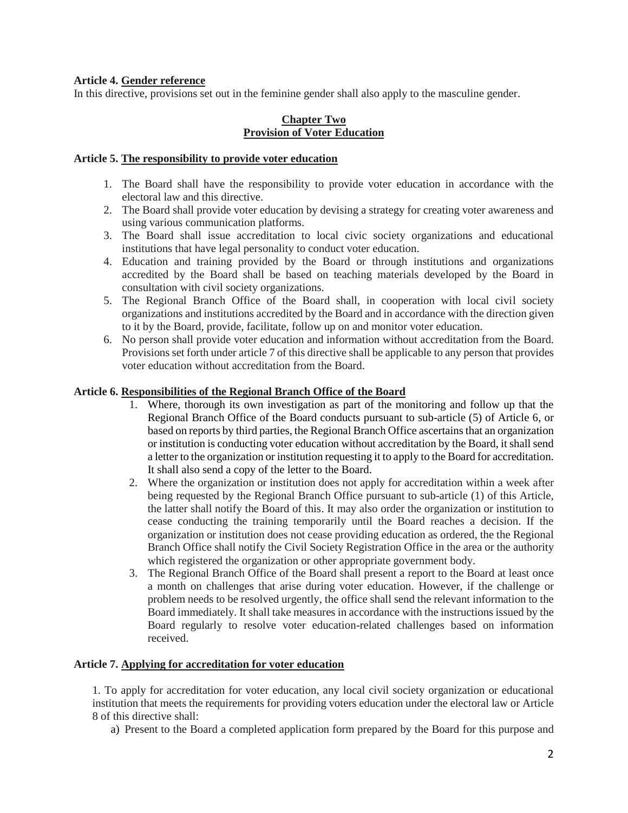### **Article 4. Gender reference**

In this directive, provisions set out in the feminine gender shall also apply to the masculine gender.

### **Chapter Two Provision of Voter Education**

#### **Article 5. The responsibility to provide voter education**

- 1. The Board shall have the responsibility to provide voter education in accordance with the electoral law and this directive.
- 2. The Board shall provide voter education by devising a strategy for creating voter awareness and using various communication platforms.
- 3. The Board shall issue accreditation to local civic society organizations and educational institutions that have legal personality to conduct voter education.
- 4. Education and training provided by the Board or through institutions and organizations accredited by the Board shall be based on teaching materials developed by the Board in consultation with civil society organizations.
- 5. The Regional Branch Office of the Board shall, in cooperation with local civil society organizations and institutions accredited by the Board and in accordance with the direction given to it by the Board, provide, facilitate, follow up on and monitor voter education.
- 6. No person shall provide voter education and information without accreditation from the Board. Provisions set forth under article 7 of this directive shall be applicable to any person that provides voter education without accreditation from the Board.

### **Article 6. Responsibilities of the Regional Branch Office of the Board**

- 1. Where, thorough its own investigation as part of the monitoring and follow up that the Regional Branch Office of the Board conducts pursuant to sub-article (5) of Article 6, or based on reports by third parties, the Regional Branch Office ascertains that an organization or institution is conducting voter education without accreditation by the Board, it shall send a letter to the organization or institution requesting it to apply to the Board for accreditation. It shall also send a copy of the letter to the Board.
- 2. Where the organization or institution does not apply for accreditation within a week after being requested by the Regional Branch Office pursuant to sub-article (1) of this Article, the latter shall notify the Board of this. It may also order the organization or institution to cease conducting the training temporarily until the Board reaches a decision. If the organization or institution does not cease providing education as ordered, the the Regional Branch Office shall notify the Civil Society Registration Office in the area or the authority which registered the organization or other appropriate government body.
- 3. The Regional Branch Office of the Board shall present a report to the Board at least once a month on challenges that arise during voter education. However, if the challenge or problem needs to be resolved urgently, the office shall send the relevant information to the Board immediately. It shall take measures in accordance with the instructions issued by the Board regularly to resolve voter education-related challenges based on information received.

### **Article 7. Applying for accreditation for voter education**

1. To apply for accreditation for voter education, any local civil society organization or educational institution that meets the requirements for providing voters education under the electoral law or Article 8 of this directive shall:

a) Present to the Board a completed application form prepared by the Board for this purpose and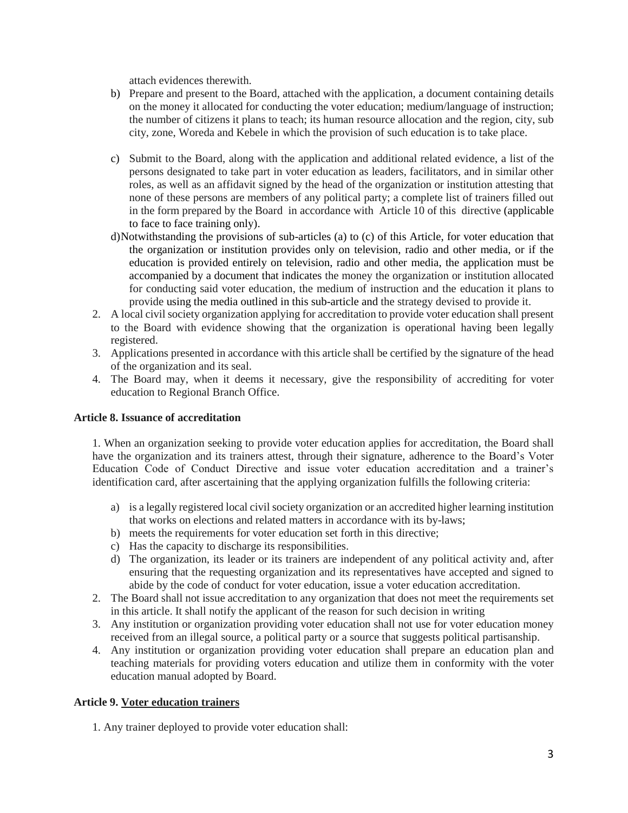attach evidences therewith.

- b) Prepare and present to the Board, attached with the application, a document containing details on the money it allocated for conducting the voter education; medium/language of instruction; the number of citizens it plans to teach; its human resource allocation and the region, city, sub city, zone, Woreda and Kebele in which the provision of such education is to take place.
- c) Submit to the Board, along with the application and additional related evidence, a list of the persons designated to take part in voter education as leaders, facilitators, and in similar other roles, as well as an affidavit signed by the head of the organization or institution attesting that none of these persons are members of any political party; a complete list of trainers filled out in the form prepared by the Board in accordance with Article 10 of this directive (applicable to face to face training only).
- d)Notwithstanding the provisions of sub-articles (a) to (c) of this Article, for voter education that the organization or institution provides only on television, radio and other media, or if the education is provided entirely on television, radio and other media, the application must be accompanied by a document that indicates the money the organization or institution allocated for conducting said voter education, the medium of instruction and the education it plans to provide using the media outlined in this sub-article and the strategy devised to provide it.
- 2. A local civil society organization applying for accreditation to provide voter education shall present to the Board with evidence showing that the organization is operational having been legally registered.
- 3. Applications presented in accordance with this article shall be certified by the signature of the head of the organization and its seal.
- 4. The Board may, when it deems it necessary, give the responsibility of accrediting for voter education to Regional Branch Office.

### **Article 8. Issuance of accreditation**

1. When an organization seeking to provide voter education applies for accreditation, the Board shall have the organization and its trainers attest, through their signature, adherence to the Board's Voter Education Code of Conduct Directive and issue voter education accreditation and a trainer's identification card, after ascertaining that the applying organization fulfills the following criteria:

- a) is a legally registered local civil society organization or an accredited higher learning institution that works on elections and related matters in accordance with its by-laws;
- b) meets the requirements for voter education set forth in this directive;
- c) Has the capacity to discharge its responsibilities.
- d) The organization, its leader or its trainers are independent of any political activity and, after ensuring that the requesting organization and its representatives have accepted and signed to abide by the code of conduct for voter education, issue a voter education accreditation.
- 2. The Board shall not issue accreditation to any organization that does not meet the requirements set in this article. It shall notify the applicant of the reason for such decision in writing
- 3. Any institution or organization providing voter education shall not use for voter education money received from an illegal source, a political party or a source that suggests political partisanship.
- 4. Any institution or organization providing voter education shall prepare an education plan and teaching materials for providing voters education and utilize them in conformity with the voter education manual adopted by Board.

### **Article 9. Voter education trainers**

1. Any trainer deployed to provide voter education shall: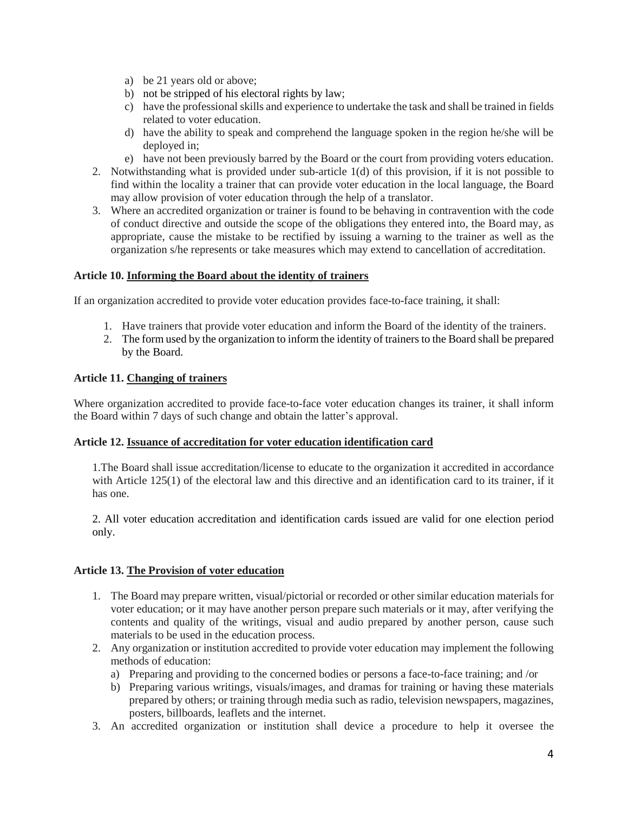- a) be 21 years old or above;
- b) not be stripped of his electoral rights by law;
- c) have the professional skills and experience to undertake the task and shall be trained in fields related to voter education.
- d) have the ability to speak and comprehend the language spoken in the region he/she will be deployed in;
- e) have not been previously barred by the Board or the court from providing voters education.
- 2. Notwithstanding what is provided under sub-article 1(d) of this provision, if it is not possible to find within the locality a trainer that can provide voter education in the local language, the Board may allow provision of voter education through the help of a translator.
- 3. Where an accredited organization or trainer is found to be behaving in contravention with the code of conduct directive and outside the scope of the obligations they entered into, the Board may, as appropriate, cause the mistake to be rectified by issuing a warning to the trainer as well as the organization s/he represents or take measures which may extend to cancellation of accreditation.

## **Article 10. Informing the Board about the identity of trainers**

If an organization accredited to provide voter education provides face-to-face training, it shall:

- 1. Have trainers that provide voter education and inform the Board of the identity of the trainers.
- 2. The form used by the organization to inform the identity of trainers to the Board shall be prepared by the Board.

## **Article 11. Changing of trainers**

Where organization accredited to provide face-to-face voter education changes its trainer, it shall inform the Board within 7 days of such change and obtain the latter's approval.

## **Article 12. Issuance of accreditation for voter education identification card**

1.The Board shall issue accreditation/license to educate to the organization it accredited in accordance with Article 125(1) of the electoral law and this directive and an identification card to its trainer, if it has one.

2. All voter education accreditation and identification cards issued are valid for one election period only.

## **Article 13. The Provision of voter education**

- 1. The Board may prepare written, visual/pictorial or recorded or other similar education materials for voter education; or it may have another person prepare such materials or it may, after verifying the contents and quality of the writings, visual and audio prepared by another person, cause such materials to be used in the education process.
- 2. Any organization or institution accredited to provide voter education may implement the following methods of education:
	- a) Preparing and providing to the concerned bodies or persons a face-to-face training; and /or
	- b) Preparing various writings, visuals/images, and dramas for training or having these materials prepared by others; or training through media such as radio, television newspapers, magazines, posters, billboards, leaflets and the internet.
- 3. An accredited organization or institution shall device a procedure to help it oversee the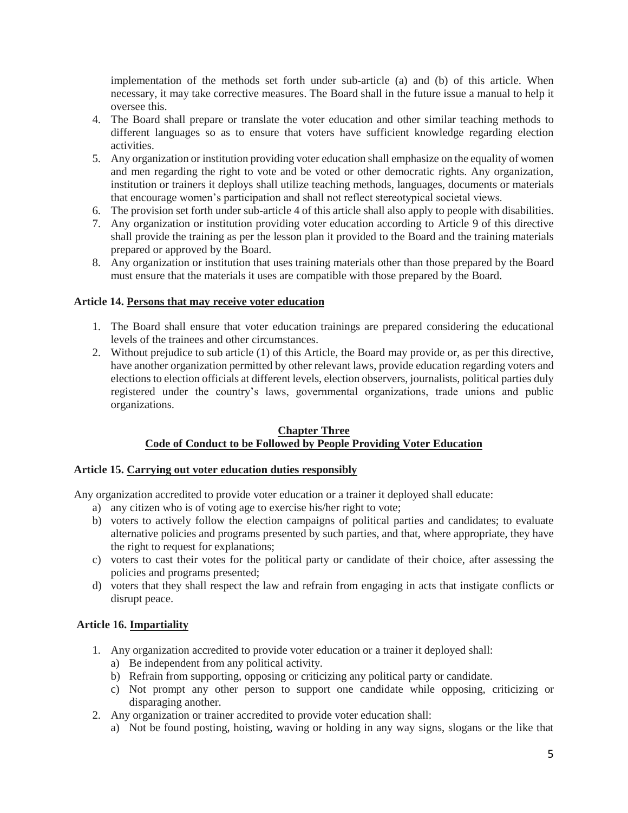implementation of the methods set forth under sub-article (a) and (b) of this article. When necessary, it may take corrective measures. The Board shall in the future issue a manual to help it oversee this.

- 4. The Board shall prepare or translate the voter education and other similar teaching methods to different languages so as to ensure that voters have sufficient knowledge regarding election activities.
- 5. Any organization or institution providing voter education shall emphasize on the equality of women and men regarding the right to vote and be voted or other democratic rights. Any organization, institution or trainers it deploys shall utilize teaching methods, languages, documents or materials that encourage women's participation and shall not reflect stereotypical societal views.
- 6. The provision set forth under sub-article 4 of this article shall also apply to people with disabilities.
- 7. Any organization or institution providing voter education according to Article 9 of this directive shall provide the training as per the lesson plan it provided to the Board and the training materials prepared or approved by the Board.
- 8. Any organization or institution that uses training materials other than those prepared by the Board must ensure that the materials it uses are compatible with those prepared by the Board.

## **Article 14. Persons that may receive voter education**

- 1. The Board shall ensure that voter education trainings are prepared considering the educational levels of the trainees and other circumstances.
- 2. Without prejudice to sub article (1) of this Article, the Board may provide or, as per this directive, have another organization permitted by other relevant laws, provide education regarding voters and electionsto election officials at different levels, election observers, journalists, political parties duly registered under the country's laws, governmental organizations, trade unions and public organizations.

#### **Chapter Three Code of Conduct to be Followed by People Providing Voter Education**

### **Article 15. Carrying out voter education duties responsibly**

Any organization accredited to provide voter education or a trainer it deployed shall educate:

- a) any citizen who is of voting age to exercise his/her right to vote;
- b) voters to actively follow the election campaigns of political parties and candidates; to evaluate alternative policies and programs presented by such parties, and that, where appropriate, they have the right to request for explanations;
- c) voters to cast their votes for the political party or candidate of their choice, after assessing the policies and programs presented;
- d) voters that they shall respect the law and refrain from engaging in acts that instigate conflicts or disrupt peace.

## **Article 16. Impartiality**

- 1. Any organization accredited to provide voter education or a trainer it deployed shall:
	- a) Be independent from any political activity.
	- b) Refrain from supporting, opposing or criticizing any political party or candidate.
	- c) Not prompt any other person to support one candidate while opposing, criticizing or disparaging another.
- 2. Any organization or trainer accredited to provide voter education shall:
	- a) Not be found posting, hoisting, waving or holding in any way signs, slogans or the like that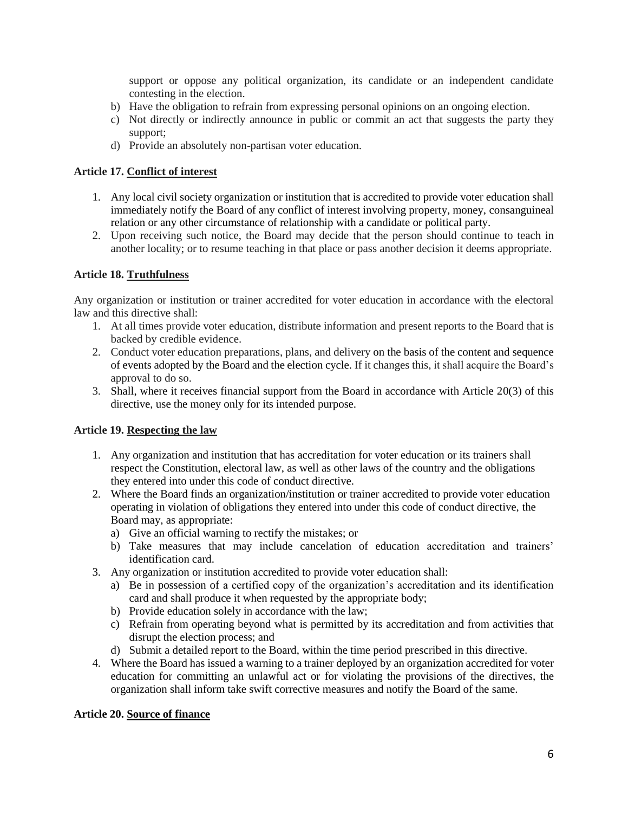support or oppose any political organization, its candidate or an independent candidate contesting in the election.

- b) Have the obligation to refrain from expressing personal opinions on an ongoing election.
- c) Not directly or indirectly announce in public or commit an act that suggests the party they support;
- d) Provide an absolutely non-partisan voter education.

#### **Article 17. Conflict of interest**

- 1. Any local civil society organization or institution that is accredited to provide voter education shall immediately notify the Board of any conflict of interest involving property, money, consanguineal relation or any other circumstance of relationship with a candidate or political party.
- 2. Upon receiving such notice, the Board may decide that the person should continue to teach in another locality; or to resume teaching in that place or pass another decision it deems appropriate.

#### **Article 18. Truthfulness**

Any organization or institution or trainer accredited for voter education in accordance with the electoral law and this directive shall:

- 1. At all times provide voter education, distribute information and present reports to the Board that is backed by credible evidence.
- 2. Conduct voter education preparations, plans, and delivery on the basis of the content and sequence of events adopted by the Board and the election cycle. If it changes this, it shall acquire the Board's approval to do so.
- 3. Shall, where it receives financial support from the Board in accordance with Article 20(3) of this directive, use the money only for its intended purpose.

#### **Article 19. Respecting the law**

- 1. Any organization and institution that has accreditation for voter education or its trainers shall respect the Constitution, electoral law, as well as other laws of the country and the obligations they entered into under this code of conduct directive.
- 2. Where the Board finds an organization/institution or trainer accredited to provide voter education operating in violation of obligations they entered into under this code of conduct directive, the Board may, as appropriate:
	- a) Give an official warning to rectify the mistakes; or
	- b) Take measures that may include cancelation of education accreditation and trainers' identification card.
- 3. Any organization or institution accredited to provide voter education shall:
	- a) Be in possession of a certified copy of the organization's accreditation and its identification card and shall produce it when requested by the appropriate body;
	- b) Provide education solely in accordance with the law;
	- c) Refrain from operating beyond what is permitted by its accreditation and from activities that disrupt the election process; and
	- d) Submit a detailed report to the Board, within the time period prescribed in this directive.
- 4. Where the Board has issued a warning to a trainer deployed by an organization accredited for voter education for committing an unlawful act or for violating the provisions of the directives, the organization shall inform take swift corrective measures and notify the Board of the same.

#### **Article 20. Source of finance**